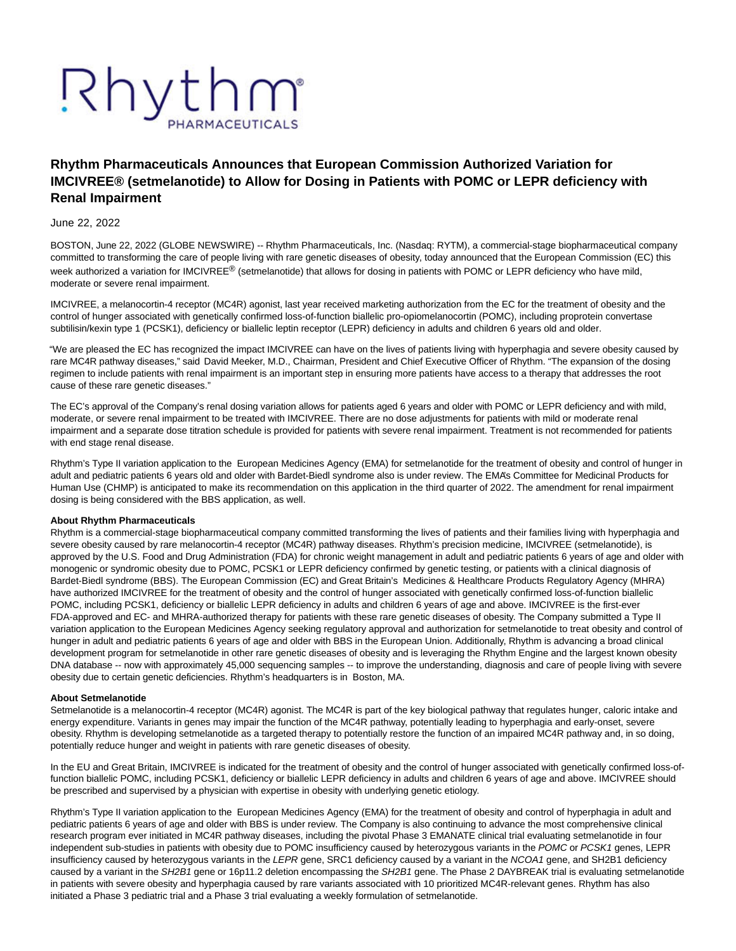# Rhythm

# **Rhythm Pharmaceuticals Announces that European Commission Authorized Variation for IMCIVREE® (setmelanotide) to Allow for Dosing in Patients with POMC or LEPR deficiency with Renal Impairment**

# June 22, 2022

BOSTON, June 22, 2022 (GLOBE NEWSWIRE) -- Rhythm Pharmaceuticals, Inc. (Nasdaq: RYTM), a commercial-stage biopharmaceutical company committed to transforming the care of people living with rare genetic diseases of obesity, today announced that the European Commission (EC) this week authorized a variation for IMCIVREE<sup>®</sup> (setmelanotide) that allows for dosing in patients with POMC or LEPR deficiency who have mild, moderate or severe renal impairment.

IMCIVREE, a melanocortin-4 receptor (MC4R) agonist, last year received marketing authorization from the EC for the treatment of obesity and the control of hunger associated with genetically confirmed loss-of-function biallelic pro-opiomelanocortin (POMC), including proprotein convertase subtilisin/kexin type 1 (PCSK1), deficiency or biallelic leptin receptor (LEPR) deficiency in adults and children 6 years old and older.

"We are pleased the EC has recognized the impact IMCIVREE can have on the lives of patients living with hyperphagia and severe obesity caused by rare MC4R pathway diseases," said David Meeker, M.D., Chairman, President and Chief Executive Officer of Rhythm. "The expansion of the dosing regimen to include patients with renal impairment is an important step in ensuring more patients have access to a therapy that addresses the root cause of these rare genetic diseases."

The EC's approval of the Company's renal dosing variation allows for patients aged 6 years and older with POMC or LEPR deficiency and with mild, moderate, or severe renal impairment to be treated with IMCIVREE. There are no dose adjustments for patients with mild or moderate renal impairment and a separate dose titration schedule is provided for patients with severe renal impairment. Treatment is not recommended for patients with end stage renal disease.

Rhythm's Type II variation application to the European Medicines Agency (EMA) for setmelanotide for the treatment of obesity and control of hunger in adult and pediatric patients 6 years old and older with Bardet-Biedl syndrome also is under review. The EMA's Committee for Medicinal Products for Human Use (CHMP) is anticipated to make its recommendation on this application in the third quarter of 2022. The amendment for renal impairment dosing is being considered with the BBS application, as well.

#### **About Rhythm Pharmaceuticals**

Rhythm is a commercial-stage biopharmaceutical company committed transforming the lives of patients and their families living with hyperphagia and severe obesity caused by rare melanocortin-4 receptor (MC4R) pathway diseases. Rhythm's precision medicine, IMCIVREE (setmelanotide), is approved by the U.S. Food and Drug Administration (FDA) for chronic weight management in adult and pediatric patients 6 years of age and older with monogenic or syndromic obesity due to POMC, PCSK1 or LEPR deficiency confirmed by genetic testing, or patients with a clinical diagnosis of Bardet-Biedl syndrome (BBS). The European Commission (EC) and Great Britain's Medicines & Healthcare Products Regulatory Agency (MHRA) have authorized IMCIVREE for the treatment of obesity and the control of hunger associated with genetically confirmed loss-of-function biallelic POMC, including PCSK1, deficiency or biallelic LEPR deficiency in adults and children 6 years of age and above. IMCIVREE is the first-ever FDA-approved and EC- and MHRA-authorized therapy for patients with these rare genetic diseases of obesity. The Company submitted a Type II variation application to the European Medicines Agency seeking regulatory approval and authorization for setmelanotide to treat obesity and control of hunger in adult and pediatric patients 6 years of age and older with BBS in the European Union. Additionally, Rhythm is advancing a broad clinical development program for setmelanotide in other rare genetic diseases of obesity and is leveraging the Rhythm Engine and the largest known obesity DNA database -- now with approximately 45,000 sequencing samples -- to improve the understanding, diagnosis and care of people living with severe obesity due to certain genetic deficiencies. Rhythm's headquarters is in Boston, MA.

#### **About Setmelanotide**

Setmelanotide is a melanocortin-4 receptor (MC4R) agonist. The MC4R is part of the key biological pathway that regulates hunger, caloric intake and energy expenditure. Variants in genes may impair the function of the MC4R pathway, potentially leading to hyperphagia and early-onset, severe obesity. Rhythm is developing setmelanotide as a targeted therapy to potentially restore the function of an impaired MC4R pathway and, in so doing, potentially reduce hunger and weight in patients with rare genetic diseases of obesity.

In the EU and Great Britain, IMCIVREE is indicated for the treatment of obesity and the control of hunger associated with genetically confirmed loss-offunction biallelic POMC, including PCSK1, deficiency or biallelic LEPR deficiency in adults and children 6 years of age and above. IMCIVREE should be prescribed and supervised by a physician with expertise in obesity with underlying genetic etiology.

Rhythm's Type II variation application to the European Medicines Agency (EMA) for the treatment of obesity and control of hyperphagia in adult and pediatric patients 6 years of age and older with BBS is under review. The Company is also continuing to advance the most comprehensive clinical research program ever initiated in MC4R pathway diseases, including the pivotal Phase 3 EMANATE clinical trial evaluating setmelanotide in four independent sub-studies in patients with obesity due to POMC insufficiency caused by heterozygous variants in the POMC or PCSK1 genes, LEPR insufficiency caused by heterozygous variants in the LEPR gene, SRC1 deficiency caused by a variant in the NCOA1 gene, and SH2B1 deficiency caused by a variant in the SH2B1 gene or 16p11.2 deletion encompassing the SH2B1 gene. The Phase 2 DAYBREAK trial is evaluating setmelanotide in patients with severe obesity and hyperphagia caused by rare variants associated with 10 prioritized MC4R-relevant genes. Rhythm has also initiated a Phase 3 pediatric trial and a Phase 3 trial evaluating a weekly formulation of setmelanotide.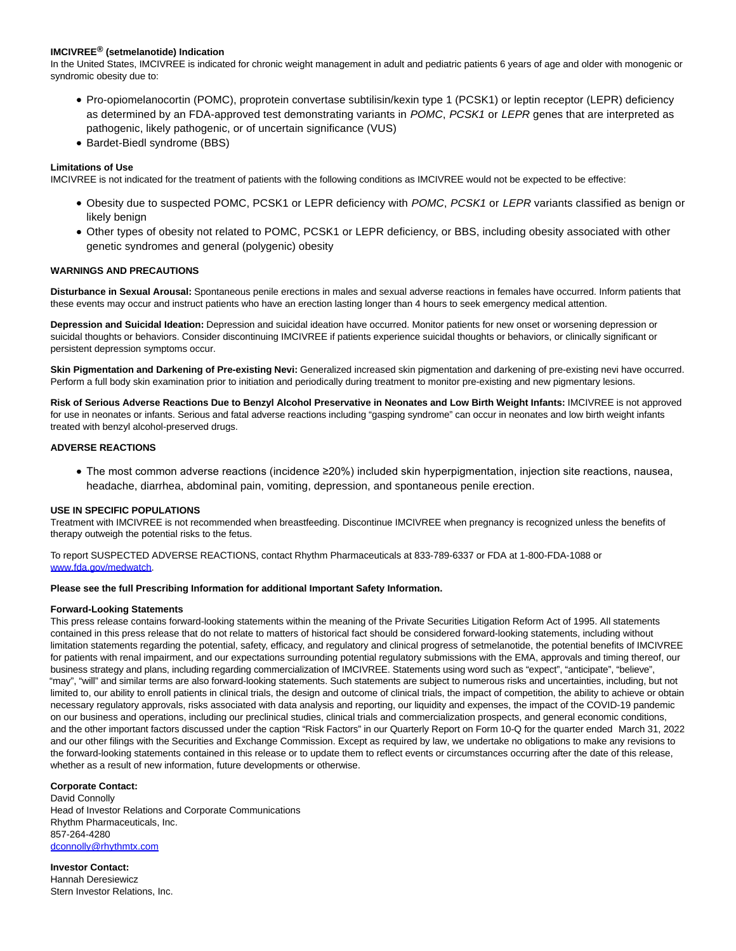# **IMCIVREE® (setmelanotide) Indication**

In the United States, IMCIVREE is indicated for chronic weight management in adult and pediatric patients 6 years of age and older with monogenic or syndromic obesity due to:

- Pro-opiomelanocortin (POMC), proprotein convertase subtilisin/kexin type 1 (PCSK1) or leptin receptor (LEPR) deficiency as determined by an FDA-approved test demonstrating variants in POMC, PCSK1 or LEPR genes that are interpreted as pathogenic, likely pathogenic, or of uncertain significance (VUS)
- Bardet-Biedl syndrome (BBS)

# **Limitations of Use**

IMCIVREE is not indicated for the treatment of patients with the following conditions as IMCIVREE would not be expected to be effective:

- Obesity due to suspected POMC, PCSK1 or LEPR deficiency with POMC, PCSK1 or LEPR variants classified as benign or likely benign
- Other types of obesity not related to POMC, PCSK1 or LEPR deficiency, or BBS, including obesity associated with other genetic syndromes and general (polygenic) obesity

#### **WARNINGS AND PRECAUTIONS**

**Disturbance in Sexual Arousal:** Spontaneous penile erections in males and sexual adverse reactions in females have occurred. Inform patients that these events may occur and instruct patients who have an erection lasting longer than 4 hours to seek emergency medical attention.

**Depression and Suicidal Ideation:** Depression and suicidal ideation have occurred. Monitor patients for new onset or worsening depression or suicidal thoughts or behaviors. Consider discontinuing IMCIVREE if patients experience suicidal thoughts or behaviors, or clinically significant or persistent depression symptoms occur.

**Skin Pigmentation and Darkening of Pre-existing Nevi:** Generalized increased skin pigmentation and darkening of pre-existing nevi have occurred. Perform a full body skin examination prior to initiation and periodically during treatment to monitor pre-existing and new pigmentary lesions.

**Risk of Serious Adverse Reactions Due to Benzyl Alcohol Preservative in Neonates and Low Birth Weight Infants:** IMCIVREE is not approved for use in neonates or infants. Serious and fatal adverse reactions including "gasping syndrome" can occur in neonates and low birth weight infants treated with benzyl alcohol-preserved drugs.

# **ADVERSE REACTIONS**

The most common adverse reactions (incidence ≥20%) included skin hyperpigmentation, injection site reactions, nausea, headache, diarrhea, abdominal pain, vomiting, depression, and spontaneous penile erection.

#### **USE IN SPECIFIC POPULATIONS**

Treatment with IMCIVREE is not recommended when breastfeeding. Discontinue IMCIVREE when pregnancy is recognized unless the benefits of therapy outweigh the potential risks to the fetus.

To report SUSPECTED ADVERSE REACTIONS, contact Rhythm Pharmaceuticals at 833-789-6337 or FDA at 1-800-FDA-1088 or [www.fda.gov/medwatch.](https://www.globenewswire.com/Tracker?data=6lnS1mdGwSizCgzgj2ruGN4p_0M9NSHdHvLRniQpEmKKuAS7wYq2P_lzfFkKEtN7Xdbr3mh16_Xoi0gp6Z6MxbJp32jLZEKY6Mg1lsxKTUA=)

#### **Please see the full Prescribing Information for additional Important Safety Information.**

#### **Forward-Looking Statements**

This press release contains forward-looking statements within the meaning of the Private Securities Litigation Reform Act of 1995. All statements contained in this press release that do not relate to matters of historical fact should be considered forward-looking statements, including without limitation statements regarding the potential, safety, efficacy, and regulatory and clinical progress of setmelanotide, the potential benefits of IMCIVREE for patients with renal impairment, and our expectations surrounding potential regulatory submissions with the EMA, approvals and timing thereof, our business strategy and plans, including regarding commercialization of IMCIVREE. Statements using word such as "expect", "anticipate", "believe", "may", "will" and similar terms are also forward-looking statements. Such statements are subject to numerous risks and uncertainties, including, but not limited to, our ability to enroll patients in clinical trials, the design and outcome of clinical trials, the impact of competition, the ability to achieve or obtain necessary regulatory approvals, risks associated with data analysis and reporting, our liquidity and expenses, the impact of the COVID-19 pandemic on our business and operations, including our preclinical studies, clinical trials and commercialization prospects, and general economic conditions, and the other important factors discussed under the caption "Risk Factors" in our Quarterly Report on Form 10-Q for the quarter ended March 31, 2022 and our other filings with the Securities and Exchange Commission. Except as required by law, we undertake no obligations to make any revisions to the forward-looking statements contained in this release or to update them to reflect events or circumstances occurring after the date of this release, whether as a result of new information, future developments or otherwise.

#### **Corporate Contact:**

David Connolly Head of Investor Relations and Corporate Communications Rhythm Pharmaceuticals, Inc. 857-264-4280 [dconnolly@rhythmtx.com](https://www.globenewswire.com/Tracker?data=isZYHkhybdkcJpABaWlxNba-PIiidUCGBHH9_QvOy3nphgCsT5U1ZVt80por6N_ac6oaMIbMB7omQ-O8USGykjA8ruHR-81k66Ssz3oQYv4=)

**Investor Contact:** Hannah Deresiewicz Stern Investor Relations, Inc.